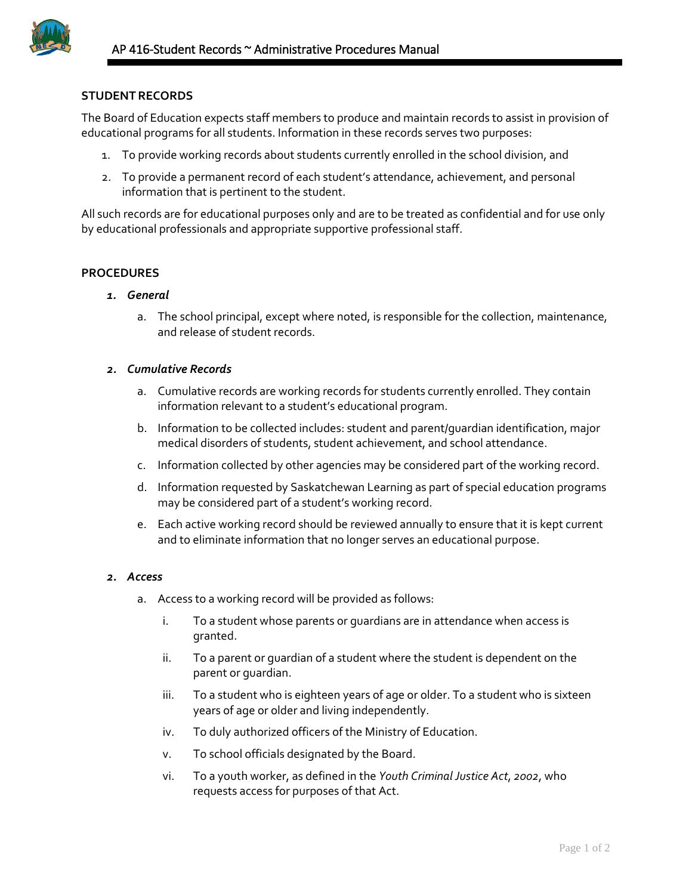

# **STUDENT RECORDS**

The Board of Education expects staff members to produce and maintain records to assist in provision of educational programs for all students. Information in these records serves two purposes:

- 1. To provide working records about students currently enrolled in the school division, and
- 2. To provide a permanent record of each student's attendance, achievement, and personal information that is pertinent to the student.

All such records are for educational purposes only and are to be treated as confidential and for use only by educational professionals and appropriate supportive professional staff.

# **PROCEDURES**

- *1. General*
	- a. The school principal, except where noted, is responsible for the collection, maintenance, and release of student records.

### *2. Cumulative Records*

- a. Cumulative records are working records for students currently enrolled. They contain information relevant to a student's educational program.
- b. Information to be collected includes: student and parent/guardian identification, major medical disorders of students, student achievement, and school attendance.
- c. Information collected by other agencies may be considered part of the working record.
- d. Information requested by Saskatchewan Learning as part of special education programs may be considered part of a student's working record.
- e. Each active working record should be reviewed annually to ensure that it is kept current and to eliminate information that no longer serves an educational purpose.

#### *2. Access*

- a. Access to a working record will be provided as follows:
	- i. To a student whose parents or guardians are in attendance when access is granted.
	- ii. To a parent or guardian of a student where the student is dependent on the parent or guardian.
	- iii. To a student who is eighteen years of age or older. To a student who is sixteen years of age or older and living independently.
	- iv. To duly authorized officers of the Ministry of Education.
	- v. To school officials designated by the Board.
	- vi. To a youth worker, as defined in the *Youth Criminal Justice Act*, *2002*, who requests access for purposes of that Act.